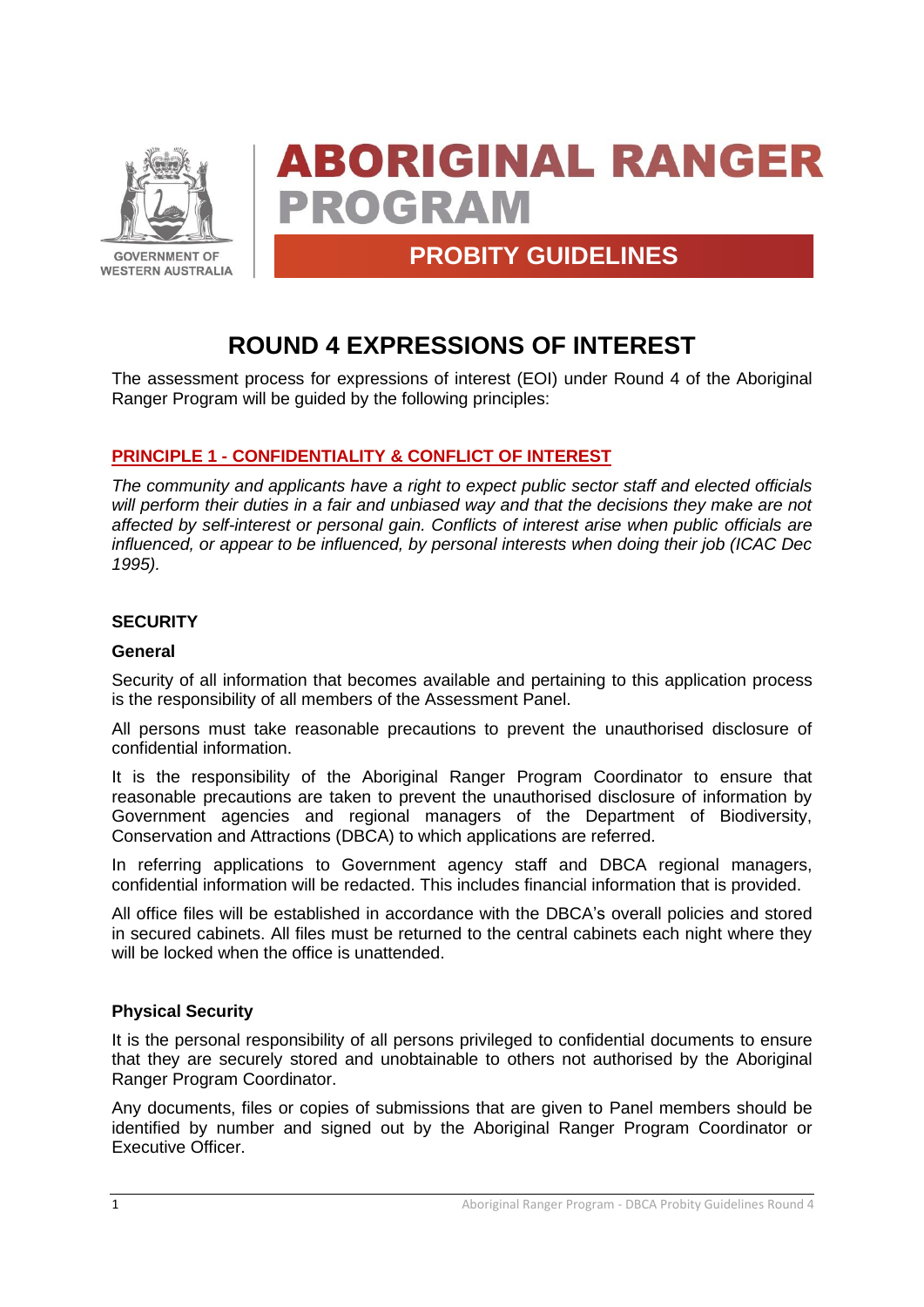

# **ABORIGINAL RANGER PROGRAM**

### **PROBITY GUIDELINES**

## **ROUND 4 EXPRESSIONS OF INTEREST**

The assessment process for expressions of interest (EOI) under Round 4 of the Aboriginal Ranger Program will be guided by the following principles:

#### **PRINCIPLE 1 - CONFIDENTIALITY & CONFLICT OF INTEREST**

*The community and applicants have a right to expect public sector staff and elected officials will perform their duties in a fair and unbiased way and that the decisions they make are not affected by self-interest or personal gain. Conflicts of interest arise when public officials are influenced, or appear to be influenced, by personal interests when doing their job (ICAC Dec 1995).*

#### **SECURITY**

#### **General**

Security of all information that becomes available and pertaining to this application process is the responsibility of all members of the Assessment Panel.

All persons must take reasonable precautions to prevent the unauthorised disclosure of confidential information.

It is the responsibility of the Aboriginal Ranger Program Coordinator to ensure that reasonable precautions are taken to prevent the unauthorised disclosure of information by Government agencies and regional managers of the Department of Biodiversity, Conservation and Attractions (DBCA) to which applications are referred.

In referring applications to Government agency staff and DBCA regional managers, confidential information will be redacted. This includes financial information that is provided.

All office files will be established in accordance with the DBCA's overall policies and stored in secured cabinets. All files must be returned to the central cabinets each night where they will be locked when the office is unattended.

#### **Physical Security**

It is the personal responsibility of all persons privileged to confidential documents to ensure that they are securely stored and unobtainable to others not authorised by the Aboriginal Ranger Program Coordinator.

Any documents, files or copies of submissions that are given to Panel members should be identified by number and signed out by the Aboriginal Ranger Program Coordinator or Executive Officer.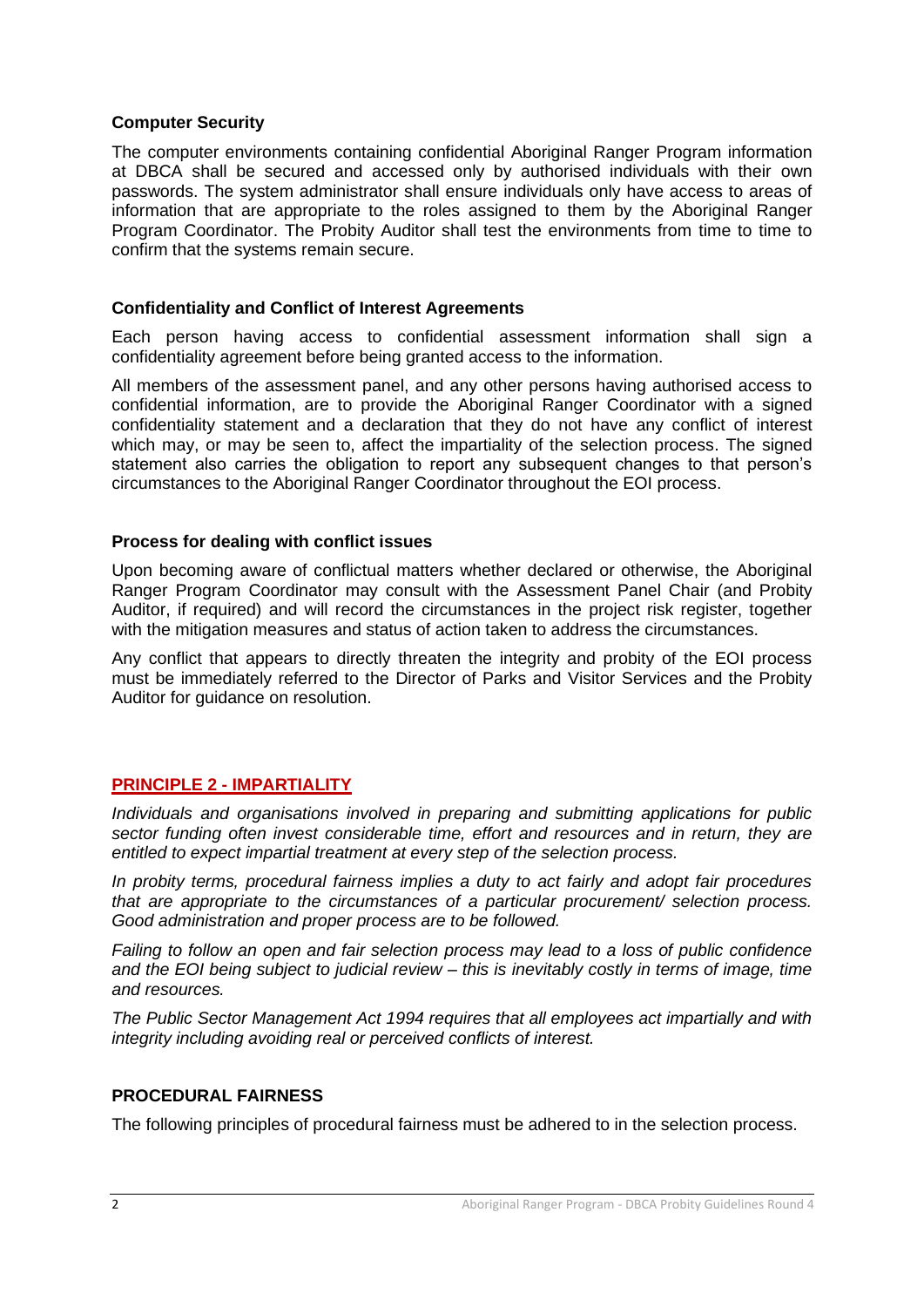#### **Computer Security**

The computer environments containing confidential Aboriginal Ranger Program information at DBCA shall be secured and accessed only by authorised individuals with their own passwords. The system administrator shall ensure individuals only have access to areas of information that are appropriate to the roles assigned to them by the Aboriginal Ranger Program Coordinator. The Probity Auditor shall test the environments from time to time to confirm that the systems remain secure.

#### **Confidentiality and Conflict of Interest Agreements**

Each person having access to confidential assessment information shall sign a confidentiality agreement before being granted access to the information.

All members of the assessment panel, and any other persons having authorised access to confidential information, are to provide the Aboriginal Ranger Coordinator with a signed confidentiality statement and a declaration that they do not have any conflict of interest which may, or may be seen to, affect the impartiality of the selection process. The signed statement also carries the obligation to report any subsequent changes to that person's circumstances to the Aboriginal Ranger Coordinator throughout the EOI process.

#### **Process for dealing with conflict issues**

Upon becoming aware of conflictual matters whether declared or otherwise, the Aboriginal Ranger Program Coordinator may consult with the Assessment Panel Chair (and Probity Auditor, if required) and will record the circumstances in the project risk register, together with the mitigation measures and status of action taken to address the circumstances.

Any conflict that appears to directly threaten the integrity and probity of the EOI process must be immediately referred to the Director of Parks and Visitor Services and the Probity Auditor for guidance on resolution.

#### **PRINCIPLE 2 - IMPARTIALITY**

*Individuals and organisations involved in preparing and submitting applications for public sector funding often invest considerable time, effort and resources and in return, they are entitled to expect impartial treatment at every step of the selection process.*

*In probity terms, procedural fairness implies a duty to act fairly and adopt fair procedures that are appropriate to the circumstances of a particular procurement/ selection process. Good administration and proper process are to be followed.* 

*Failing to follow an open and fair selection process may lead to a loss of public confidence and the EOI being subject to judicial review – this is inevitably costly in terms of image, time and resources.*

*The Public Sector Management Act 1994 requires that all employees act impartially and with integrity including avoiding real or perceived conflicts of interest.*

#### **PROCEDURAL FAIRNESS**

The following principles of procedural fairness must be adhered to in the selection process.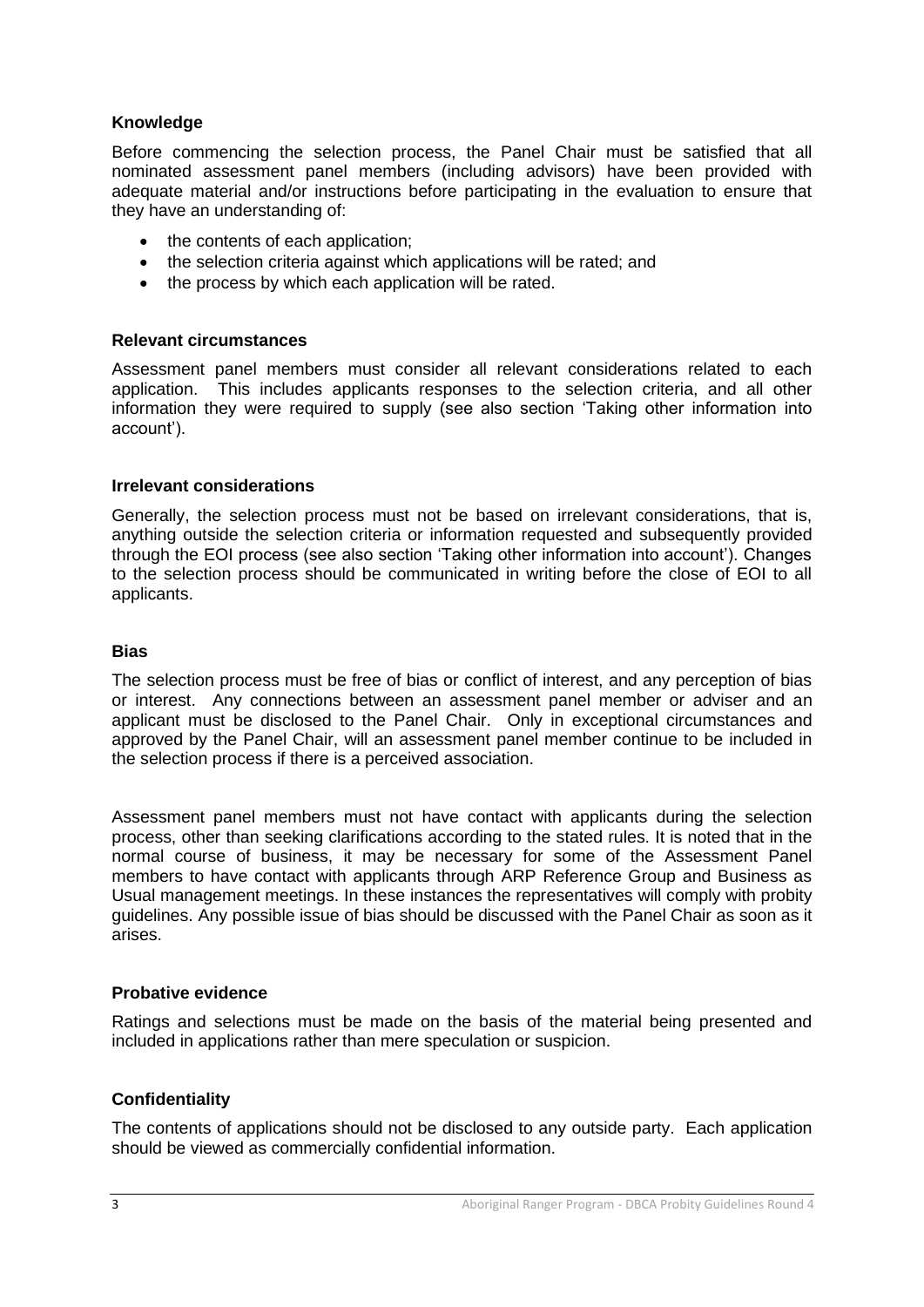#### **Knowledge**

Before commencing the selection process, the Panel Chair must be satisfied that all nominated assessment panel members (including advisors) have been provided with adequate material and/or instructions before participating in the evaluation to ensure that they have an understanding of:

- the contents of each application;
- the selection criteria against which applications will be rated; and
- the process by which each application will be rated.

#### **Relevant circumstances**

Assessment panel members must consider all relevant considerations related to each application. This includes applicants responses to the selection criteria, and all other information they were required to supply (see also section 'Taking other information into account').

#### **Irrelevant considerations**

Generally, the selection process must not be based on irrelevant considerations, that is, anything outside the selection criteria or information requested and subsequently provided through the EOI process (see also section 'Taking other information into account'). Changes to the selection process should be communicated in writing before the close of EOI to all applicants.

#### **Bias**

The selection process must be free of bias or conflict of interest, and any perception of bias or interest. Any connections between an assessment panel member or adviser and an applicant must be disclosed to the Panel Chair. Only in exceptional circumstances and approved by the Panel Chair, will an assessment panel member continue to be included in the selection process if there is a perceived association.

Assessment panel members must not have contact with applicants during the selection process, other than seeking clarifications according to the stated rules. It is noted that in the normal course of business, it may be necessary for some of the Assessment Panel members to have contact with applicants through ARP Reference Group and Business as Usual management meetings. In these instances the representatives will comply with probity guidelines. Any possible issue of bias should be discussed with the Panel Chair as soon as it arises.

#### **Probative evidence**

Ratings and selections must be made on the basis of the material being presented and included in applications rather than mere speculation or suspicion.

#### **Confidentiality**

The contents of applications should not be disclosed to any outside party. Each application should be viewed as commercially confidential information.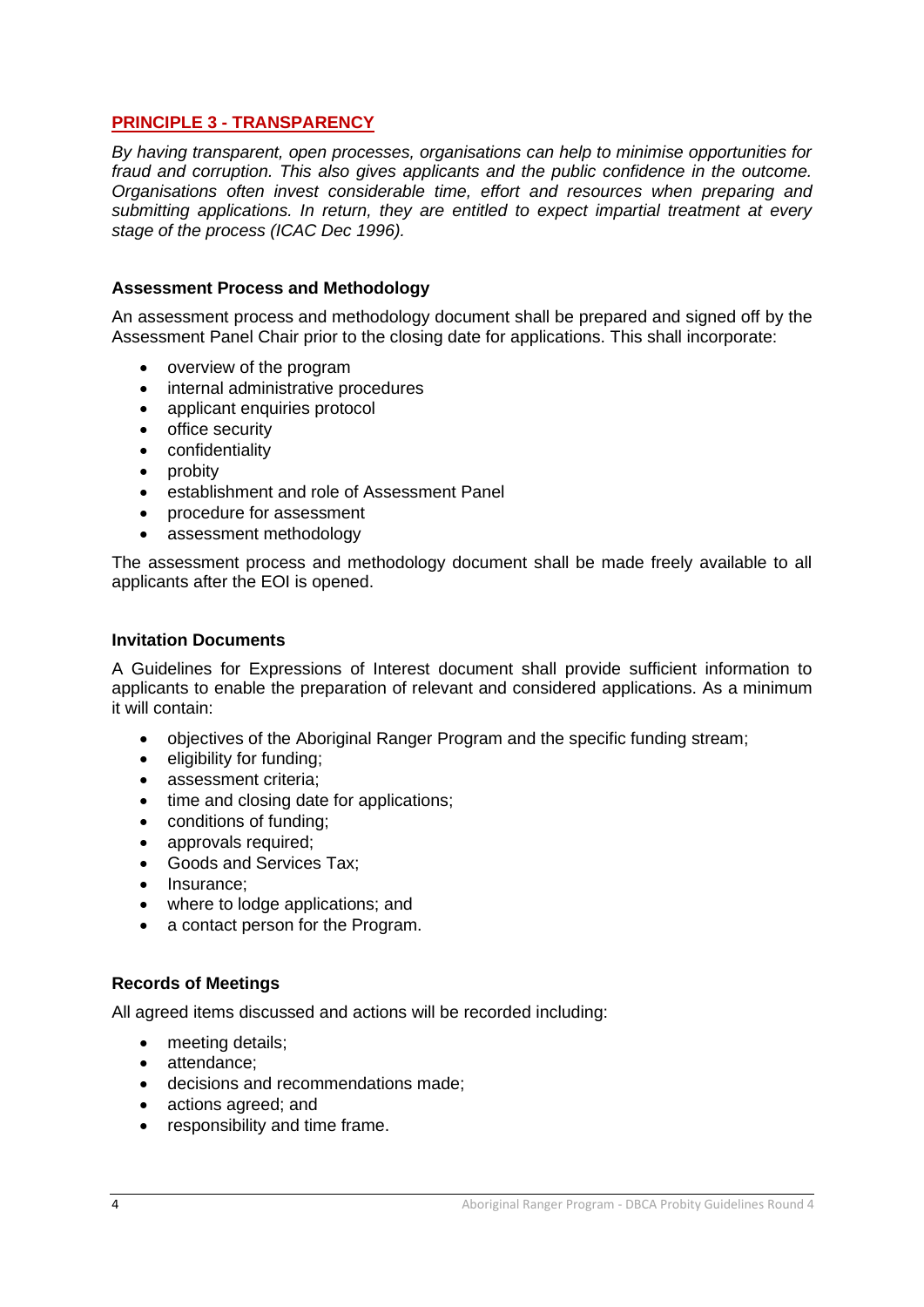#### **PRINCIPLE 3 - TRANSPARENCY**

*By having transparent, open processes, organisations can help to minimise opportunities for fraud and corruption. This also gives applicants and the public confidence in the outcome. Organisations often invest considerable time, effort and resources when preparing and submitting applications. In return, they are entitled to expect impartial treatment at every stage of the process (ICAC Dec 1996).*

#### **Assessment Process and Methodology**

An assessment process and methodology document shall be prepared and signed off by the Assessment Panel Chair prior to the closing date for applications. This shall incorporate:

- overview of the program
- internal administrative procedures
- applicant enquiries protocol
- office security
- confidentiality
- probity
- establishment and role of Assessment Panel
- procedure for assessment
- assessment methodology

The assessment process and methodology document shall be made freely available to all applicants after the EOI is opened.

#### **Invitation Documents**

A Guidelines for Expressions of Interest document shall provide sufficient information to applicants to enable the preparation of relevant and considered applications. As a minimum it will contain:

- objectives of the Aboriginal Ranger Program and the specific funding stream;
- eligibility for funding;
- assessment criteria:
- time and closing date for applications;
- conditions of funding;
- approvals required;
- Goods and Services Tax;
- Insurance:
- where to lodge applications; and
- a contact person for the Program.

#### **Records of Meetings**

All agreed items discussed and actions will be recorded including:

- meeting details;
- attendance:
- decisions and recommendations made;
- actions agreed; and
- responsibility and time frame.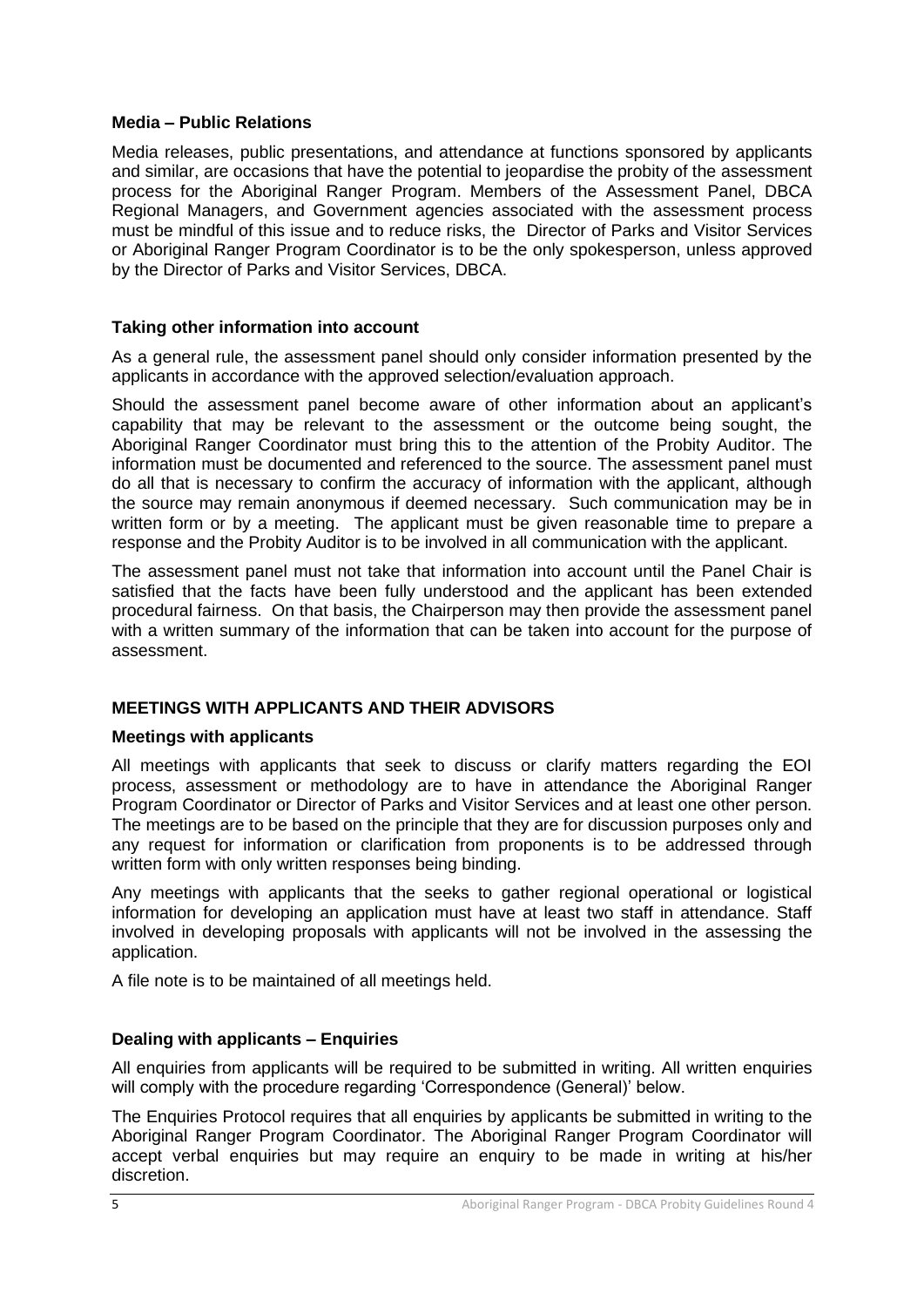#### **Media – Public Relations**

Media releases, public presentations, and attendance at functions sponsored by applicants and similar, are occasions that have the potential to jeopardise the probity of the assessment process for the Aboriginal Ranger Program. Members of the Assessment Panel, DBCA Regional Managers, and Government agencies associated with the assessment process must be mindful of this issue and to reduce risks, the Director of Parks and Visitor Services or Aboriginal Ranger Program Coordinator is to be the only spokesperson, unless approved by the Director of Parks and Visitor Services, DBCA.

#### **Taking other information into account**

As a general rule, the assessment panel should only consider information presented by the applicants in accordance with the approved selection/evaluation approach.

Should the assessment panel become aware of other information about an applicant's capability that may be relevant to the assessment or the outcome being sought, the Aboriginal Ranger Coordinator must bring this to the attention of the Probity Auditor. The information must be documented and referenced to the source. The assessment panel must do all that is necessary to confirm the accuracy of information with the applicant, although the source may remain anonymous if deemed necessary. Such communication may be in written form or by a meeting. The applicant must be given reasonable time to prepare a response and the Probity Auditor is to be involved in all communication with the applicant.

The assessment panel must not take that information into account until the Panel Chair is satisfied that the facts have been fully understood and the applicant has been extended procedural fairness. On that basis, the Chairperson may then provide the assessment panel with a written summary of the information that can be taken into account for the purpose of assessment.

#### **MEETINGS WITH APPLICANTS AND THEIR ADVISORS**

#### **Meetings with applicants**

All meetings with applicants that seek to discuss or clarify matters regarding the EOI process, assessment or methodology are to have in attendance the Aboriginal Ranger Program Coordinator or Director of Parks and Visitor Services and at least one other person. The meetings are to be based on the principle that they are for discussion purposes only and any request for information or clarification from proponents is to be addressed through written form with only written responses being binding.

Any meetings with applicants that the seeks to gather regional operational or logistical information for developing an application must have at least two staff in attendance. Staff involved in developing proposals with applicants will not be involved in the assessing the application.

A file note is to be maintained of all meetings held.

#### **Dealing with applicants – Enquiries**

All enquiries from applicants will be required to be submitted in writing. All written enquiries will comply with the procedure regarding 'Correspondence (General)' below.

The Enquiries Protocol requires that all enquiries by applicants be submitted in writing to the Aboriginal Ranger Program Coordinator. The Aboriginal Ranger Program Coordinator will accept verbal enquiries but may require an enquiry to be made in writing at his/her discretion.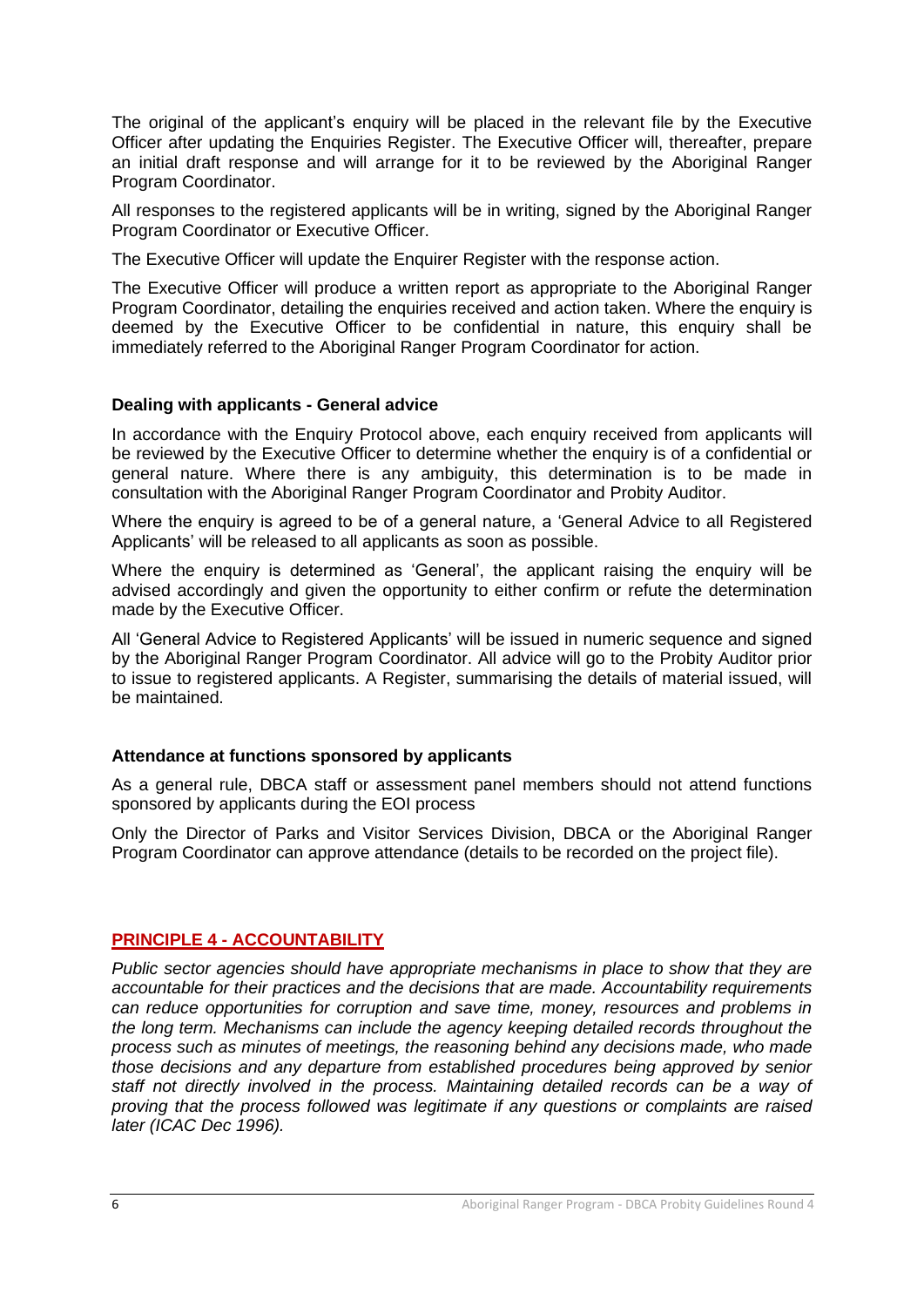The original of the applicant's enquiry will be placed in the relevant file by the Executive Officer after updating the Enquiries Register. The Executive Officer will, thereafter, prepare an initial draft response and will arrange for it to be reviewed by the Aboriginal Ranger Program Coordinator.

All responses to the registered applicants will be in writing, signed by the Aboriginal Ranger Program Coordinator or Executive Officer.

The Executive Officer will update the Enquirer Register with the response action.

The Executive Officer will produce a written report as appropriate to the Aboriginal Ranger Program Coordinator, detailing the enquiries received and action taken. Where the enquiry is deemed by the Executive Officer to be confidential in nature, this enquiry shall be immediately referred to the Aboriginal Ranger Program Coordinator for action.

#### **Dealing with applicants - General advice**

In accordance with the Enquiry Protocol above, each enquiry received from applicants will be reviewed by the Executive Officer to determine whether the enquiry is of a confidential or general nature. Where there is any ambiguity, this determination is to be made in consultation with the Aboriginal Ranger Program Coordinator and Probity Auditor.

Where the enquiry is agreed to be of a general nature, a 'General Advice to all Registered Applicants' will be released to all applicants as soon as possible.

Where the enquiry is determined as 'General', the applicant raising the enquiry will be advised accordingly and given the opportunity to either confirm or refute the determination made by the Executive Officer.

All 'General Advice to Registered Applicants' will be issued in numeric sequence and signed by the Aboriginal Ranger Program Coordinator. All advice will go to the Probity Auditor prior to issue to registered applicants. A Register, summarising the details of material issued, will be maintained.

#### **Attendance at functions sponsored by applicants**

As a general rule, DBCA staff or assessment panel members should not attend functions sponsored by applicants during the EOI process

Only the Director of Parks and Visitor Services Division, DBCA or the Aboriginal Ranger Program Coordinator can approve attendance (details to be recorded on the project file).

#### **PRINCIPLE 4 - ACCOUNTABILITY**

*Public sector agencies should have appropriate mechanisms in place to show that they are accountable for their practices and the decisions that are made. Accountability requirements can reduce opportunities for corruption and save time, money, resources and problems in the long term. Mechanisms can include the agency keeping detailed records throughout the process such as minutes of meetings, the reasoning behind any decisions made, who made those decisions and any departure from established procedures being approved by senior staff not directly involved in the process. Maintaining detailed records can be a way of proving that the process followed was legitimate if any questions or complaints are raised later (ICAC Dec 1996).*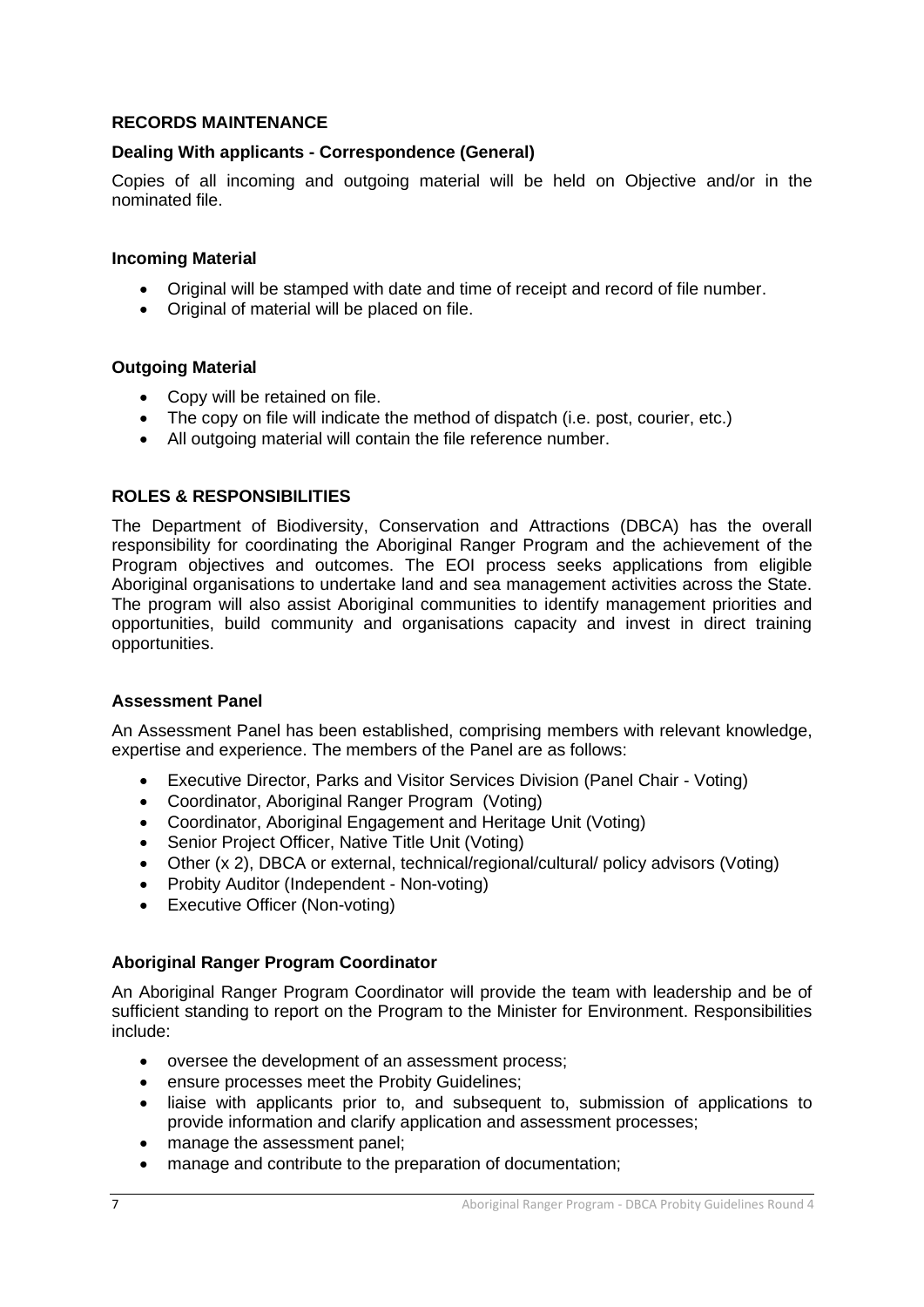#### **RECORDS MAINTENANCE**

#### **Dealing With applicants - Correspondence (General)**

Copies of all incoming and outgoing material will be held on Objective and/or in the nominated file.

#### **Incoming Material**

- Original will be stamped with date and time of receipt and record of file number.
- Original of material will be placed on file.

#### **Outgoing Material**

- Copy will be retained on file.
- The copy on file will indicate the method of dispatch (i.e. post, courier, etc.)
- All outgoing material will contain the file reference number.

#### **ROLES & RESPONSIBILITIES**

The Department of Biodiversity, Conservation and Attractions (DBCA) has the overall responsibility for coordinating the Aboriginal Ranger Program and the achievement of the Program objectives and outcomes. The EOI process seeks applications from eligible Aboriginal organisations to undertake land and sea management activities across the State. The program will also assist Aboriginal communities to identify management priorities and opportunities, build community and organisations capacity and invest in direct training opportunities.

#### **Assessment Panel**

An Assessment Panel has been established, comprising members with relevant knowledge, expertise and experience. The members of the Panel are as follows:

- Executive Director, Parks and Visitor Services Division (Panel Chair Voting)
- Coordinator, Aboriginal Ranger Program (Voting)
- Coordinator, Aboriginal Engagement and Heritage Unit (Voting)
- Senior Project Officer, Native Title Unit (Voting)
- Other (x 2), DBCA or external, technical/regional/cultural/ policy advisors (Voting)
- Probity Auditor (Independent Non-voting)
- Executive Officer (Non-voting)

#### **Aboriginal Ranger Program Coordinator**

An Aboriginal Ranger Program Coordinator will provide the team with leadership and be of sufficient standing to report on the Program to the Minister for Environment. Responsibilities include:

- oversee the development of an assessment process;
- ensure processes meet the Probity Guidelines;
- liaise with applicants prior to, and subsequent to, submission of applications to provide information and clarify application and assessment processes;
- manage the assessment panel:
- manage and contribute to the preparation of documentation;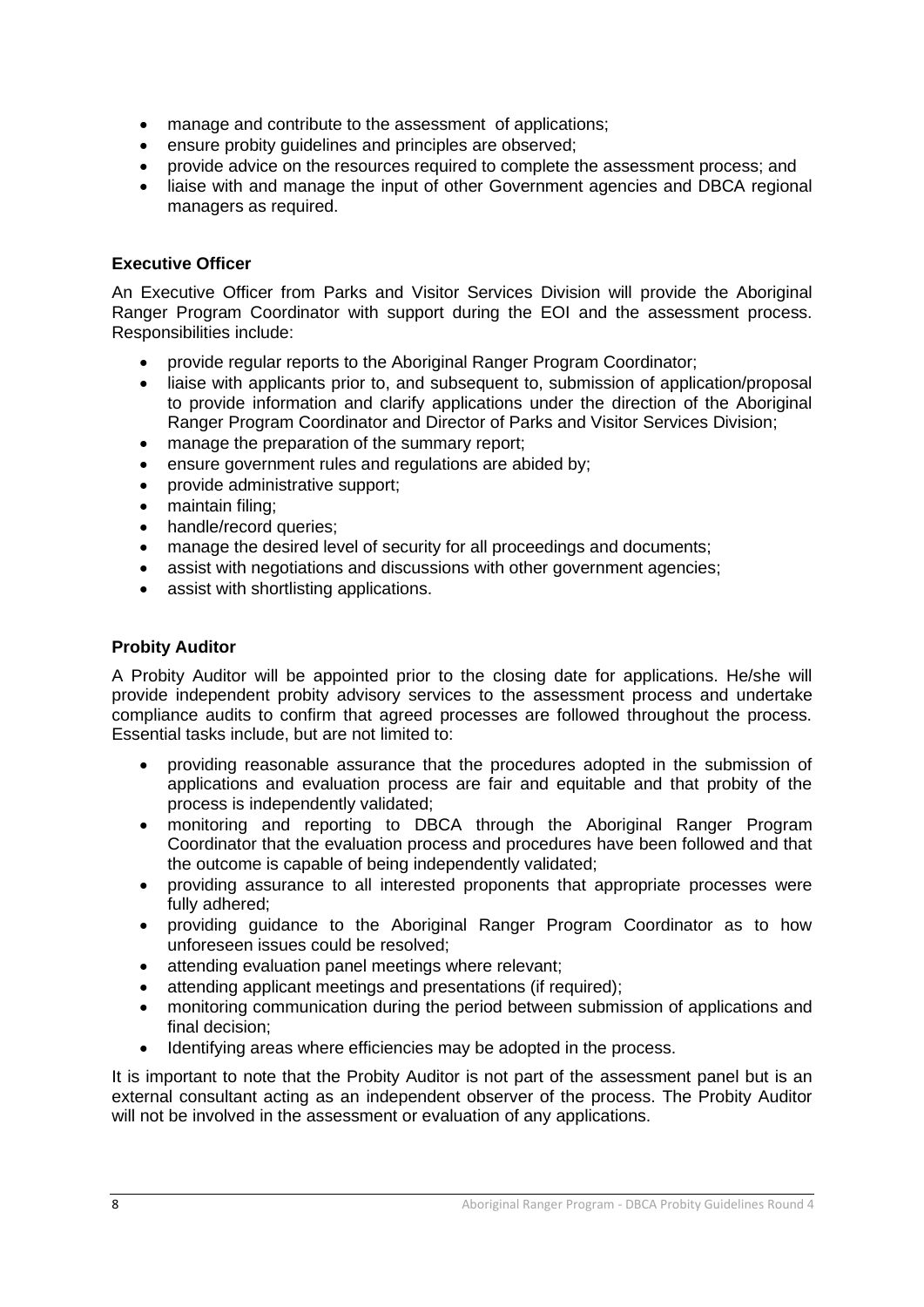- manage and contribute to the assessment of applications;
- ensure probity guidelines and principles are observed;
- provide advice on the resources required to complete the assessment process; and
- liaise with and manage the input of other Government agencies and DBCA regional managers as required.

#### **Executive Officer**

An Executive Officer from Parks and Visitor Services Division will provide the Aboriginal Ranger Program Coordinator with support during the EOI and the assessment process. Responsibilities include:

- provide regular reports to the Aboriginal Ranger Program Coordinator;
- liaise with applicants prior to, and subsequent to, submission of application/proposal to provide information and clarify applications under the direction of the Aboriginal Ranger Program Coordinator and Director of Parks and Visitor Services Division;
- manage the preparation of the summary report;
- ensure government rules and regulations are abided by;
- provide administrative support;
- maintain filing;
- handle/record queries;
- manage the desired level of security for all proceedings and documents;
- assist with negotiations and discussions with other government agencies;
- assist with shortlisting applications.

#### **Probity Auditor**

A Probity Auditor will be appointed prior to the closing date for applications. He/she will provide independent probity advisory services to the assessment process and undertake compliance audits to confirm that agreed processes are followed throughout the process. Essential tasks include, but are not limited to:

- providing reasonable assurance that the procedures adopted in the submission of applications and evaluation process are fair and equitable and that probity of the process is independently validated;
- monitoring and reporting to DBCA through the Aboriginal Ranger Program Coordinator that the evaluation process and procedures have been followed and that the outcome is capable of being independently validated;
- providing assurance to all interested proponents that appropriate processes were fully adhered;
- providing guidance to the Aboriginal Ranger Program Coordinator as to how unforeseen issues could be resolved;
- attending evaluation panel meetings where relevant;
- attending applicant meetings and presentations (if required);
- monitoring communication during the period between submission of applications and final decision;
- Identifying areas where efficiencies may be adopted in the process.

It is important to note that the Probity Auditor is not part of the assessment panel but is an external consultant acting as an independent observer of the process. The Probity Auditor will not be involved in the assessment or evaluation of any applications.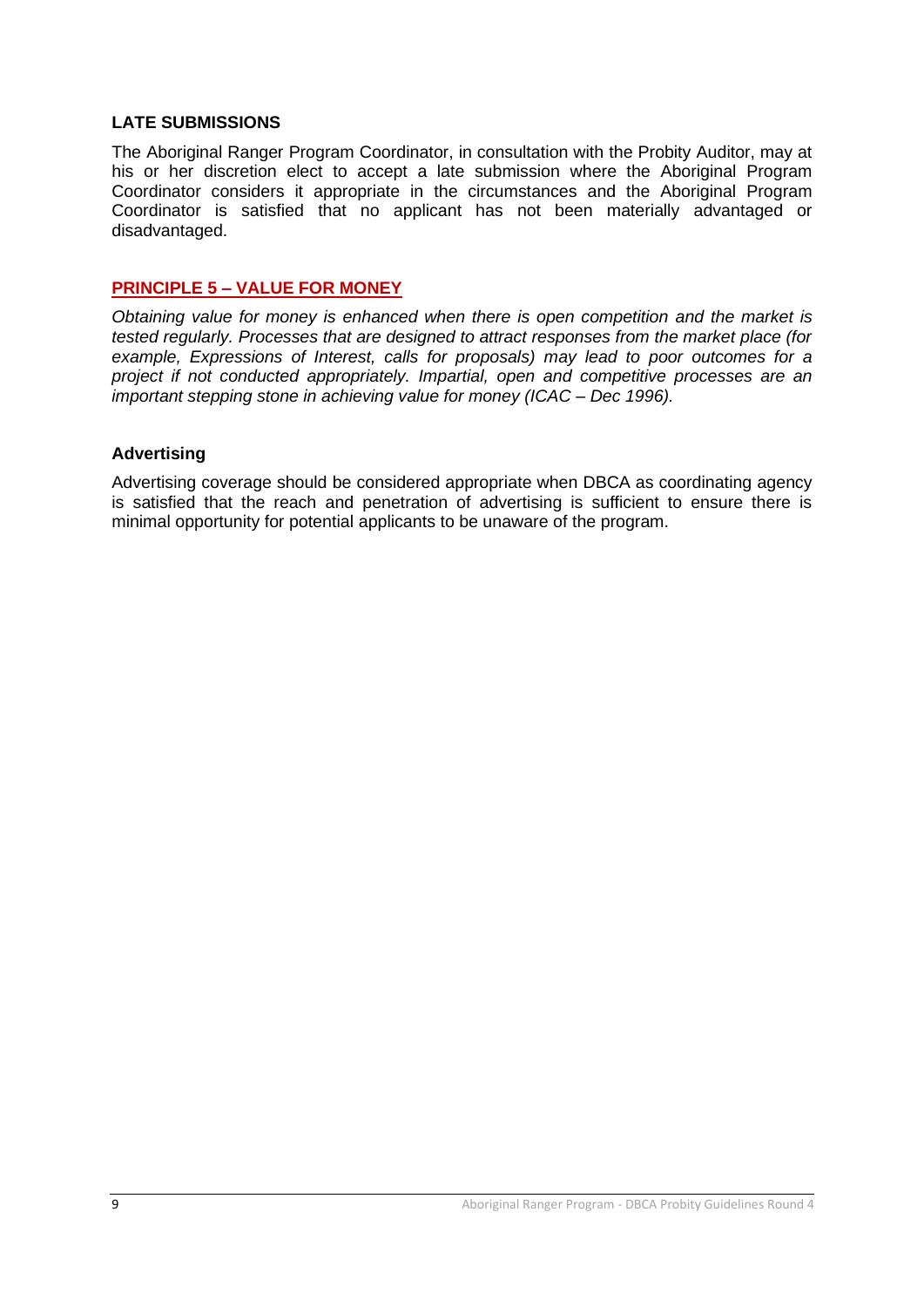#### **LATE SUBMISSIONS**

The Aboriginal Ranger Program Coordinator, in consultation with the Probity Auditor, may at his or her discretion elect to accept a late submission where the Aboriginal Program Coordinator considers it appropriate in the circumstances and the Aboriginal Program Coordinator is satisfied that no applicant has not been materially advantaged or disadvantaged.

#### **PRINCIPLE 5 – VALUE FOR MONEY**

*Obtaining value for money is enhanced when there is open competition and the market is tested regularly. Processes that are designed to attract responses from the market place (for example, Expressions of Interest, calls for proposals) may lead to poor outcomes for a project if not conducted appropriately. Impartial, open and competitive processes are an important stepping stone in achieving value for money (ICAC – Dec 1996).*

#### **Advertising**

Advertising coverage should be considered appropriate when DBCA as coordinating agency is satisfied that the reach and penetration of advertising is sufficient to ensure there is minimal opportunity for potential applicants to be unaware of the program.